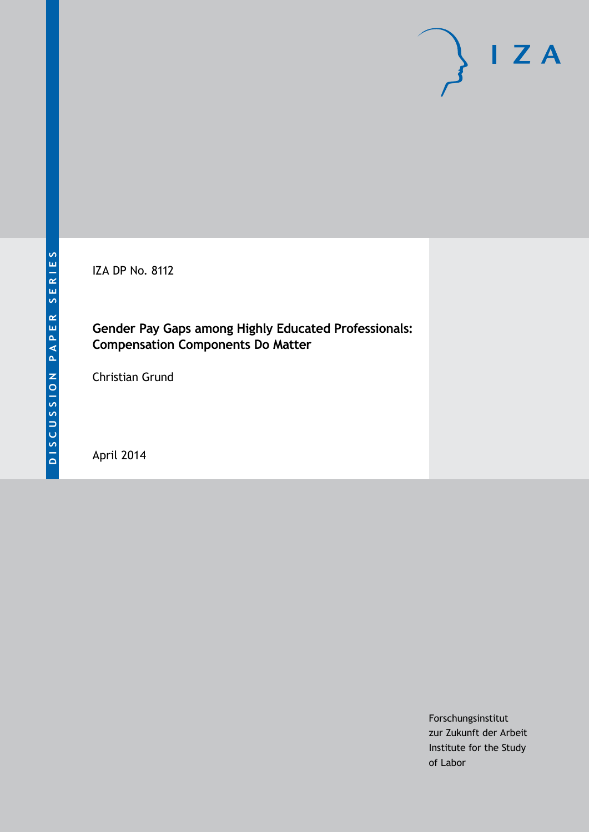IZA DP No. 8112

## **Gender Pay Gaps among Highly Educated Professionals: Compensation Components Do Matter**

Christian Grund

April 2014

Forschungsinstitut zur Zukunft der Arbeit Institute for the Study of Labor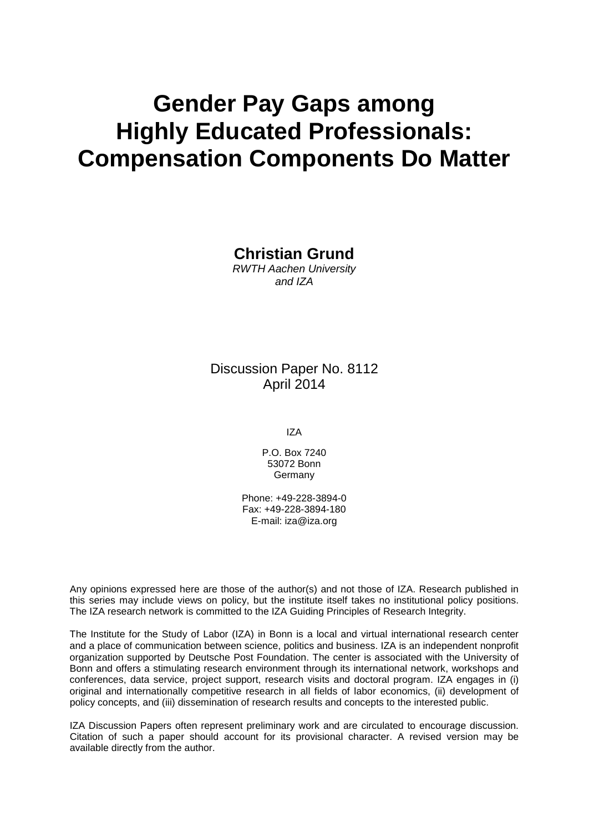# **Gender Pay Gaps among Highly Educated Professionals: Compensation Components Do Matter**

**Christian Grund**

*RWTH Aachen University and IZA*

Discussion Paper No. 8112 April 2014

IZA

P.O. Box 7240 53072 Bonn **Germany** 

Phone: +49-228-3894-0 Fax: +49-228-3894-180 E-mail: [iza@iza.org](mailto:iza@iza.org)

Any opinions expressed here are those of the author(s) and not those of IZA. Research published in this series may include views on policy, but the institute itself takes no institutional policy positions. The IZA research network is committed to the IZA Guiding Principles of Research Integrity.

The Institute for the Study of Labor (IZA) in Bonn is a local and virtual international research center and a place of communication between science, politics and business. IZA is an independent nonprofit organization supported by Deutsche Post Foundation. The center is associated with the University of Bonn and offers a stimulating research environment through its international network, workshops and conferences, data service, project support, research visits and doctoral program. IZA engages in (i) original and internationally competitive research in all fields of labor economics, (ii) development of policy concepts, and (iii) dissemination of research results and concepts to the interested public.

IZA Discussion Papers often represent preliminary work and are circulated to encourage discussion. Citation of such a paper should account for its provisional character. A revised version may be available directly from the author.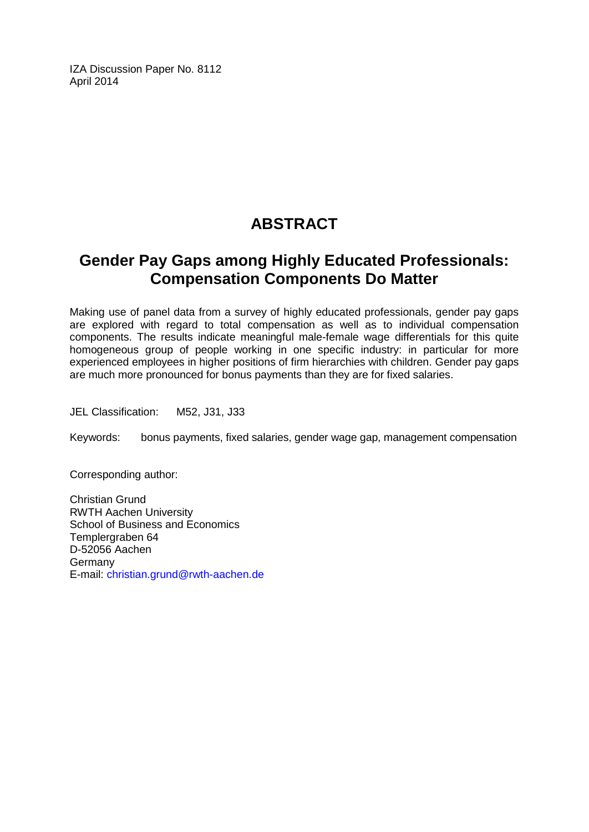IZA Discussion Paper No. 8112 April 2014

# **ABSTRACT**

# **Gender Pay Gaps among Highly Educated Professionals: Compensation Components Do Matter**

Making use of panel data from a survey of highly educated professionals, gender pay gaps are explored with regard to total compensation as well as to individual compensation components. The results indicate meaningful male-female wage differentials for this quite homogeneous group of people working in one specific industry: in particular for more experienced employees in higher positions of firm hierarchies with children. Gender pay gaps are much more pronounced for bonus payments than they are for fixed salaries.

JEL Classification: M52, J31, J33

Keywords: bonus payments, fixed salaries, gender wage gap, management compensation

Corresponding author:

Christian Grund RWTH Aachen University School of Business and Economics Templergraben 64 D-52056 Aachen Germany E-mail: [christian.grund@rwth-aachen.de](mailto:christian.grund@rwth-aachen.de)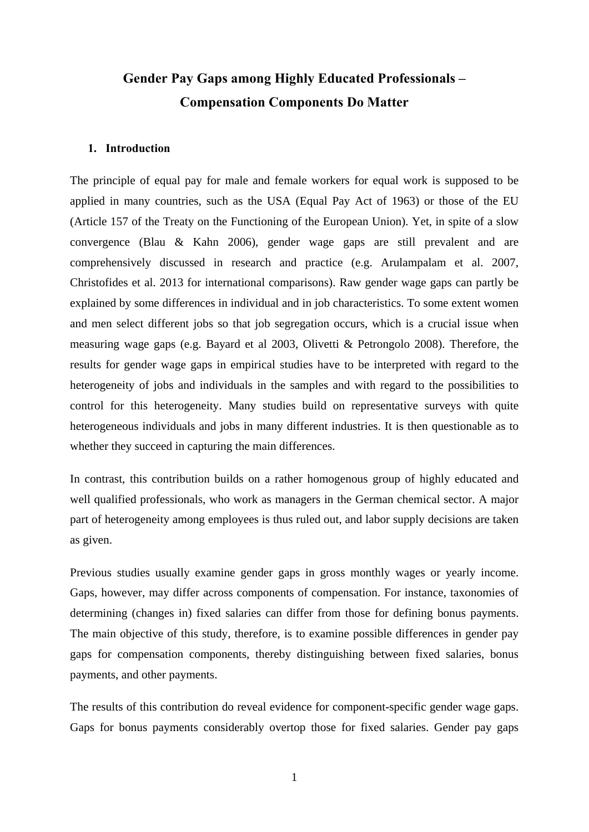# **Gender Pay Gaps among Highly Educated Professionals – Compensation Components Do Matter**

### **1. Introduction**

The principle of equal pay for male and female workers for equal work is supposed to be applied in many countries, such as the USA (Equal Pay Act of 1963) or those of the EU (Article 157 of the Treaty on the Functioning of the European Union). Yet, in spite of a slow convergence (Blau & Kahn 2006), gender wage gaps are still prevalent and are comprehensively discussed in research and practice (e.g. Arulampalam et al. 2007, Christofides et al. 2013 for international comparisons). Raw gender wage gaps can partly be explained by some differences in individual and in job characteristics. To some extent women and men select different jobs so that job segregation occurs, which is a crucial issue when measuring wage gaps (e.g. Bayard et al 2003, Olivetti & Petrongolo 2008). Therefore, the results for gender wage gaps in empirical studies have to be interpreted with regard to the heterogeneity of jobs and individuals in the samples and with regard to the possibilities to control for this heterogeneity. Many studies build on representative surveys with quite heterogeneous individuals and jobs in many different industries. It is then questionable as to whether they succeed in capturing the main differences.

In contrast, this contribution builds on a rather homogenous group of highly educated and well qualified professionals, who work as managers in the German chemical sector. A major part of heterogeneity among employees is thus ruled out, and labor supply decisions are taken as given.

Previous studies usually examine gender gaps in gross monthly wages or yearly income. Gaps, however, may differ across components of compensation. For instance, taxonomies of determining (changes in) fixed salaries can differ from those for defining bonus payments. The main objective of this study, therefore, is to examine possible differences in gender pay gaps for compensation components, thereby distinguishing between fixed salaries, bonus payments, and other payments.

The results of this contribution do reveal evidence for component-specific gender wage gaps. Gaps for bonus payments considerably overtop those for fixed salaries. Gender pay gaps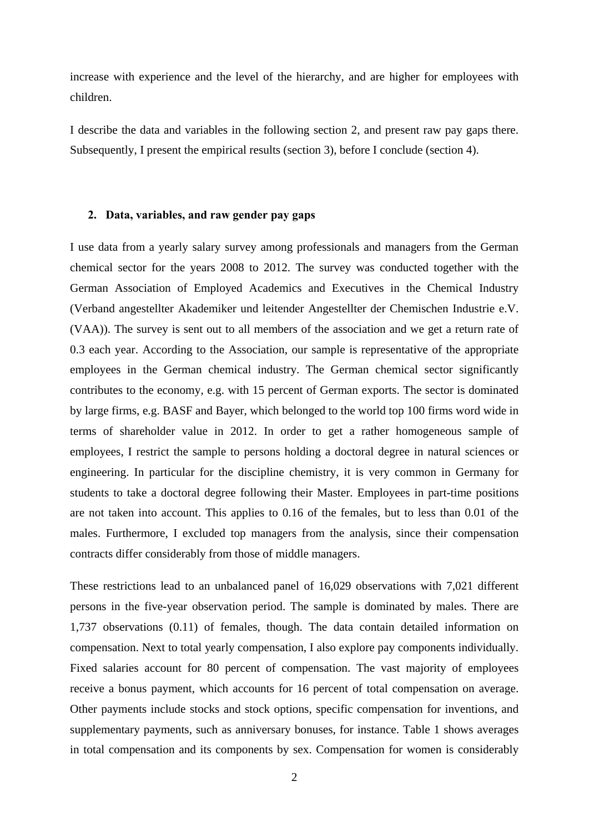increase with experience and the level of the hierarchy, and are higher for employees with children.

I describe the data and variables in the following section 2, and present raw pay gaps there. Subsequently, I present the empirical results (section 3), before I conclude (section 4).

### **2. Data, variables, and raw gender pay gaps**

I use data from a yearly salary survey among professionals and managers from the German chemical sector for the years 2008 to 2012. The survey was conducted together with the German Association of Employed Academics and Executives in the Chemical Industry (Verband angestellter Akademiker und leitender Angestellter der Chemischen Industrie e.V. (VAA)). The survey is sent out to all members of the association and we get a return rate of 0.3 each year. According to the Association, our sample is representative of the appropriate employees in the German chemical industry. The German chemical sector significantly contributes to the economy, e.g. with 15 percent of German exports. The sector is dominated by large firms, e.g. BASF and Bayer, which belonged to the world top 100 firms word wide in terms of shareholder value in 2012. In order to get a rather homogeneous sample of employees, I restrict the sample to persons holding a doctoral degree in natural sciences or engineering. In particular for the discipline chemistry, it is very common in Germany for students to take a doctoral degree following their Master. Employees in part-time positions are not taken into account. This applies to 0.16 of the females, but to less than 0.01 of the males. Furthermore, I excluded top managers from the analysis, since their compensation contracts differ considerably from those of middle managers.

These restrictions lead to an unbalanced panel of 16,029 observations with 7,021 different persons in the five-year observation period. The sample is dominated by males. There are 1,737 observations (0.11) of females, though. The data contain detailed information on compensation. Next to total yearly compensation, I also explore pay components individually. Fixed salaries account for 80 percent of compensation. The vast majority of employees receive a bonus payment, which accounts for 16 percent of total compensation on average. Other payments include stocks and stock options, specific compensation for inventions, and supplementary payments, such as anniversary bonuses, for instance. Table 1 shows averages in total compensation and its components by sex. Compensation for women is considerably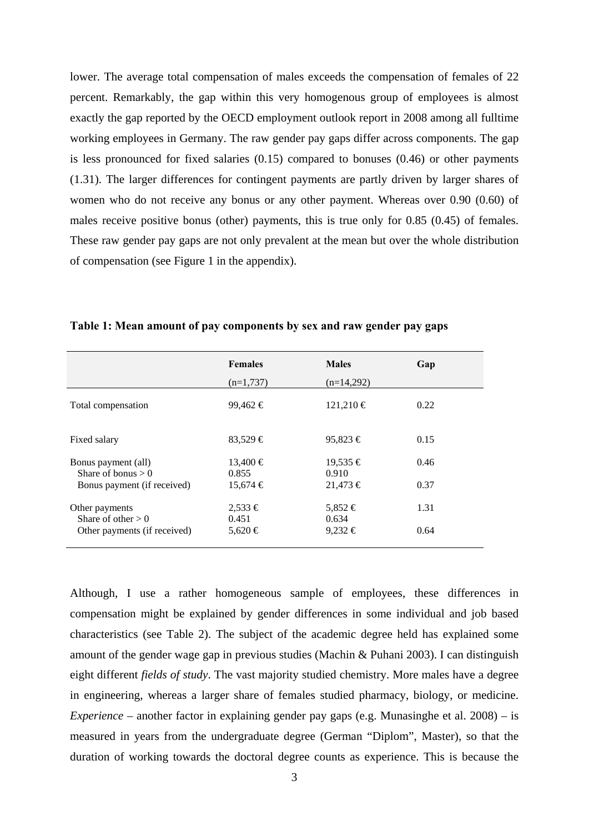lower. The average total compensation of males exceeds the compensation of females of 22 percent. Remarkably, the gap within this very homogenous group of employees is almost exactly the gap reported by the OECD employment outlook report in 2008 among all fulltime working employees in Germany. The raw gender pay gaps differ across components. The gap is less pronounced for fixed salaries (0.15) compared to bonuses (0.46) or other payments (1.31). The larger differences for contingent payments are partly driven by larger shares of women who do not receive any bonus or any other payment. Whereas over 0.90 (0.60) of males receive positive bonus (other) payments, this is true only for 0.85 (0.45) of females. These raw gender pay gaps are not only prevalent at the mean but over the whole distribution of compensation (see Figure 1 in the appendix).

|                                             | <b>Females</b>        | <b>Males</b>          | Gap  |
|---------------------------------------------|-----------------------|-----------------------|------|
|                                             | $(n=1,737)$           | $(n=14,292)$          |      |
| Total compensation                          | $99,462 \in$          | $121,210 \in$         | 0.22 |
| Fixed salary                                | $83,529 \in$          | $95.823 \in$          | 0.15 |
| Bonus payment (all)<br>Share of bonus $> 0$ | $13,400 \in$<br>0.855 | $19,535 \in$<br>0.910 | 0.46 |
| Bonus payment (if received)                 | $15,674 \in$          | $21,473 \in$          | 0.37 |
| Other payments<br>Share of other $> 0$      | $2,533 \in$<br>0.451  | 5,852 €<br>0.634      | 1.31 |
| Other payments (if received)                | 5,620 €               | $9,232 \in$           | 0.64 |

**Table 1: Mean amount of pay components by sex and raw gender pay gaps** 

Although, I use a rather homogeneous sample of employees, these differences in compensation might be explained by gender differences in some individual and job based characteristics (see Table 2). The subject of the academic degree held has explained some amount of the gender wage gap in previous studies (Machin & Puhani 2003). I can distinguish eight different *fields of study*. The vast majority studied chemistry. More males have a degree in engineering, whereas a larger share of females studied pharmacy, biology, or medicine. *Experience* – another factor in explaining gender pay gaps (e.g. Munasinghe et al. 2008) – is measured in years from the undergraduate degree (German "Diplom", Master), so that the duration of working towards the doctoral degree counts as experience. This is because the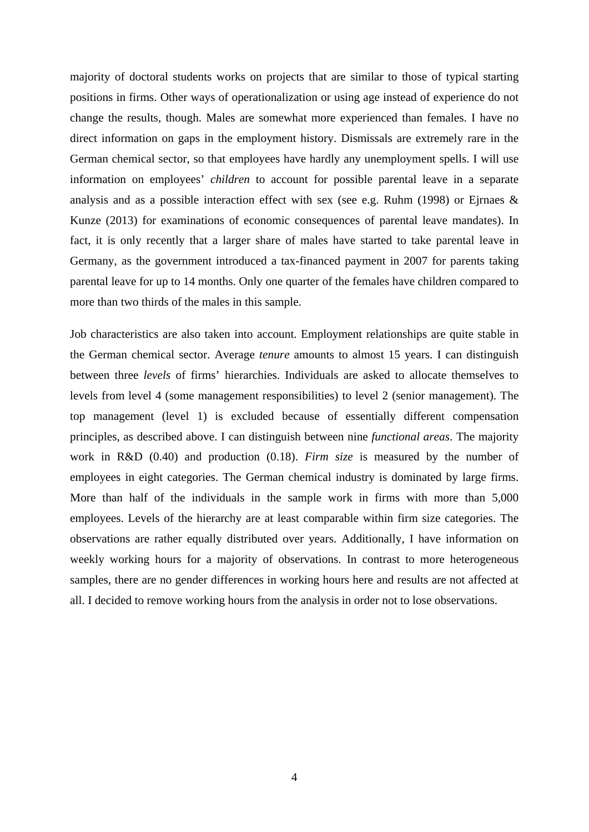majority of doctoral students works on projects that are similar to those of typical starting positions in firms. Other ways of operationalization or using age instead of experience do not change the results, though. Males are somewhat more experienced than females. I have no direct information on gaps in the employment history. Dismissals are extremely rare in the German chemical sector, so that employees have hardly any unemployment spells. I will use information on employees' *children* to account for possible parental leave in a separate analysis and as a possible interaction effect with sex (see e.g. Ruhm (1998) or Ejrnaes & Kunze (2013) for examinations of economic consequences of parental leave mandates). In fact, it is only recently that a larger share of males have started to take parental leave in Germany, as the government introduced a tax-financed payment in 2007 for parents taking parental leave for up to 14 months. Only one quarter of the females have children compared to more than two thirds of the males in this sample.

Job characteristics are also taken into account. Employment relationships are quite stable in the German chemical sector. Average *tenure* amounts to almost 15 years. I can distinguish between three *levels* of firms' hierarchies. Individuals are asked to allocate themselves to levels from level 4 (some management responsibilities) to level 2 (senior management). The top management (level 1) is excluded because of essentially different compensation principles, as described above. I can distinguish between nine *functional areas*. The majority work in R&D (0.40) and production (0.18). *Firm size* is measured by the number of employees in eight categories. The German chemical industry is dominated by large firms. More than half of the individuals in the sample work in firms with more than 5,000 employees. Levels of the hierarchy are at least comparable within firm size categories. The observations are rather equally distributed over years. Additionally, I have information on weekly working hours for a majority of observations. In contrast to more heterogeneous samples, there are no gender differences in working hours here and results are not affected at all. I decided to remove working hours from the analysis in order not to lose observations.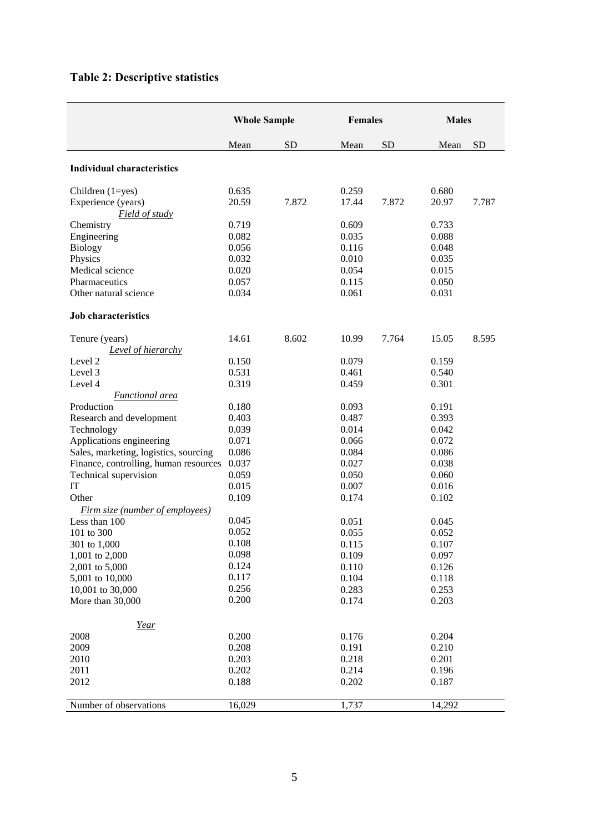# **Table 2: Descriptive statistics**

|                                       | <b>Whole Sample</b> |           | Females |           | <b>Males</b> |           |
|---------------------------------------|---------------------|-----------|---------|-----------|--------------|-----------|
|                                       | Mean                | <b>SD</b> | Mean    | <b>SD</b> | Mean         | <b>SD</b> |
| <b>Individual characteristics</b>     |                     |           |         |           |              |           |
| Children $(1 = yes)$                  | 0.635               |           | 0.259   |           | 0.680        |           |
| Experience (years)<br>Field of study  | 20.59               | 7.872     | 17.44   | 7.872     | 20.97        | 7.787     |
| Chemistry                             | 0.719               |           | 0.609   |           | 0.733        |           |
| Engineering                           | 0.082               |           | 0.035   |           | 0.088        |           |
| Biology                               | 0.056               |           | 0.116   |           | 0.048        |           |
| Physics                               | 0.032               |           | 0.010   |           | 0.035        |           |
| Medical science                       | 0.020               |           | 0.054   |           | 0.015        |           |
| Pharmaceutics                         | 0.057               |           | 0.115   |           | 0.050        |           |
| Other natural science                 | 0.034               |           | 0.061   |           | 0.031        |           |
| <b>Job</b> characteristics            |                     |           |         |           |              |           |
| Tenure (years)                        | 14.61               | 8.602     | 10.99   | 7.764     | 15.05        | 8.595     |
| <b>Level of hierarchy</b>             |                     |           |         |           |              |           |
| Level 2                               | 0.150               |           | 0.079   |           | 0.159        |           |
| Level 3                               | 0.531               |           | 0.461   |           | 0.540        |           |
| Level 4                               | 0.319               |           | 0.459   |           | 0.301        |           |
| <b>Functional</b> area                |                     |           |         |           |              |           |
| Production                            | 0.180               |           | 0.093   |           | 0.191        |           |
| Research and development              | 0.403               |           | 0.487   |           | 0.393        |           |
| Technology                            | 0.039               |           | 0.014   |           | 0.042        |           |
| Applications engineering              | 0.071               |           | 0.066   |           | 0.072        |           |
| Sales, marketing, logistics, sourcing | 0.086               |           | 0.084   |           | 0.086        |           |
| Finance, controlling, human resources | 0.037               |           | 0.027   |           | 0.038        |           |
| Technical supervision                 | 0.059               |           | 0.050   |           | 0.060        |           |
| IT                                    | 0.015               |           | 0.007   |           | 0.016        |           |
| Other                                 | 0.109               |           | 0.174   |           | 0.102        |           |
| Firm size (number of employees)       |                     |           |         |           |              |           |
| Less than 100                         | 0.045               |           | 0.051   |           | 0.045        |           |
| 101 to 300                            | 0.052               |           | 0.055   |           | 0.052        |           |
| 301 to 1,000                          | 0.108               |           | 0.115   |           | 0.107        |           |
| 1,001 to 2,000                        | 0.098               |           | 0.109   |           | 0.097        |           |
| 2,001 to 5,000                        | 0.124               |           | 0.110   |           | 0.126        |           |
| 5,001 to 10,000                       | 0.117               |           | 0.104   |           | 0.118        |           |
| 10,001 to 30,000                      | 0.256               |           | 0.283   |           | 0.253        |           |
| More than 30,000                      | 0.200               |           | 0.174   |           | 0.203        |           |
| Year                                  |                     |           |         |           |              |           |
| 2008                                  | 0.200               |           | 0.176   |           | 0.204        |           |
| 2009                                  | 0.208               |           | 0.191   |           | 0.210        |           |
| 2010                                  | 0.203               |           | 0.218   |           | 0.201        |           |
| 2011                                  | 0.202               |           | 0.214   |           | 0.196        |           |
| 2012                                  | 0.188               |           | 0.202   |           | 0.187        |           |
| Number of observations                | 16,029              |           | 1,737   |           | 14,292       |           |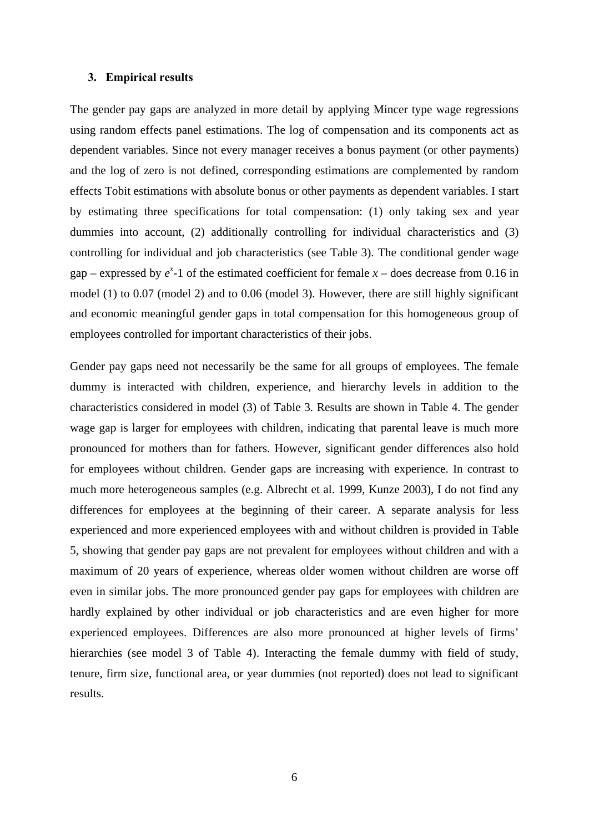#### **3. Empirical results**

The gender pay gaps are analyzed in more detail by applying Mincer type wage regressions using random effects panel estimations. The log of compensation and its components act as dependent variables. Since not every manager receives a bonus payment (or other payments) and the log of zero is not defined, corresponding estimations are complemented by random effects Tobit estimations with absolute bonus or other payments as dependent variables. I start by estimating three specifications for total compensation: (1) only taking sex and year dummies into account, (2) additionally controlling for individual characteristics and (3) controlling for individual and job characteristics (see Table 3). The conditional gender wage gap – expressed by  $e^{x}$ -1 of the estimated coefficient for female  $x$  – does decrease from 0.16 in model (1) to 0.07 (model 2) and to 0.06 (model 3). However, there are still highly significant and economic meaningful gender gaps in total compensation for this homogeneous group of employees controlled for important characteristics of their jobs.

Gender pay gaps need not necessarily be the same for all groups of employees. The female dummy is interacted with children, experience, and hierarchy levels in addition to the characteristics considered in model (3) of Table 3. Results are shown in Table 4. The gender wage gap is larger for employees with children, indicating that parental leave is much more pronounced for mothers than for fathers. However, significant gender differences also hold for employees without children. Gender gaps are increasing with experience. In contrast to much more heterogeneous samples (e.g. Albrecht et al. 1999, Kunze 2003), I do not find any differences for employees at the beginning of their career. A separate analysis for less experienced and more experienced employees with and without children is provided in Table 5, showing that gender pay gaps are not prevalent for employees without children and with a maximum of 20 years of experience, whereas older women without children are worse off even in similar jobs. The more pronounced gender pay gaps for employees with children are hardly explained by other individual or job characteristics and are even higher for more experienced employees. Differences are also more pronounced at higher levels of firms' hierarchies (see model 3 of Table 4). Interacting the female dummy with field of study, tenure, firm size, functional area, or year dummies (not reported) does not lead to significant results.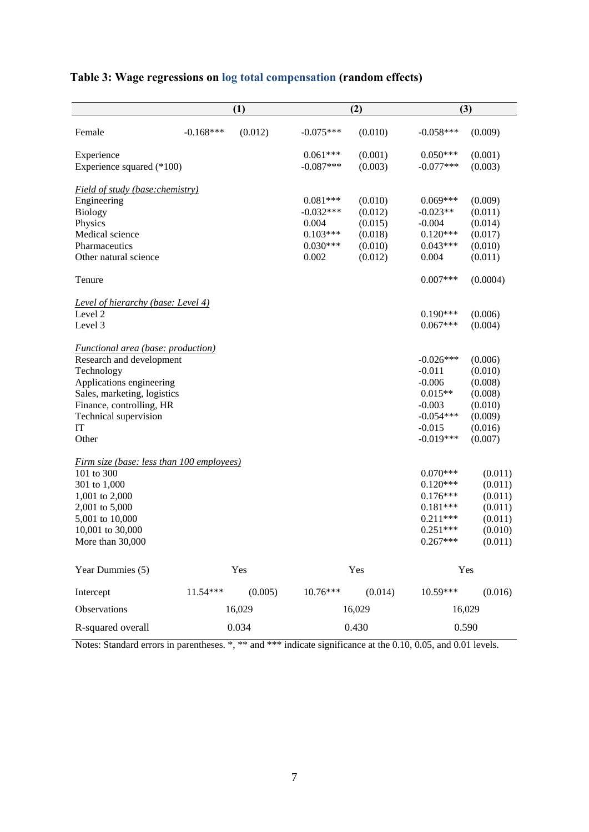|  |  | Table 3: Wage regressions on log total compensation (random effects) |  |
|--|--|----------------------------------------------------------------------|--|
|  |  |                                                                      |  |

|                                                  | (1)         |         |             | (2)     | (3)         |          |  |
|--------------------------------------------------|-------------|---------|-------------|---------|-------------|----------|--|
| Female                                           | $-0.168***$ | (0.012) | $-0.075***$ | (0.010) | $-0.058***$ | (0.009)  |  |
| Experience                                       |             |         | $0.061***$  | (0.001) | $0.050***$  | (0.001)  |  |
| Experience squared (*100)                        |             |         | $-0.087***$ | (0.003) | $-0.077***$ | (0.003)  |  |
| <b>Field of study (base: chemistry)</b>          |             |         |             |         |             |          |  |
| Engineering                                      |             |         | $0.081***$  | (0.010) | $0.069***$  | (0.009)  |  |
| <b>Biology</b>                                   |             |         | $-0.032***$ | (0.012) | $-0.023**$  | (0.011)  |  |
| Physics                                          |             |         | 0.004       | (0.015) | $-0.004$    | (0.014)  |  |
| Medical science                                  |             |         | $0.103***$  | (0.018) | $0.120***$  | (0.017)  |  |
| Pharmaceutics                                    |             |         | $0.030***$  | (0.010) | $0.043***$  | (0.010)  |  |
| Other natural science                            |             |         | 0.002       | (0.012) | 0.004       | (0.011)  |  |
| Tenure                                           |             |         |             |         | $0.007***$  | (0.0004) |  |
| <b>Level of hierarchy (base: Level 4)</b>        |             |         |             |         |             |          |  |
| Level 2                                          |             |         |             |         | $0.190***$  | (0.006)  |  |
| Level 3                                          |             |         |             |         | $0.067***$  | (0.004)  |  |
| <i>Functional area (base: production)</i>        |             |         |             |         |             |          |  |
| Research and development                         |             |         |             |         | $-0.026***$ | (0.006)  |  |
| Technology                                       |             |         |             |         | $-0.011$    | (0.010)  |  |
| Applications engineering                         |             |         |             |         | $-0.006$    | (0.008)  |  |
| Sales, marketing, logistics                      |             |         |             |         | $0.015**$   | (0.008)  |  |
| Finance, controlling, HR                         |             |         |             |         | $-0.003$    | (0.010)  |  |
| Technical supervision                            |             |         |             |         | $-0.054***$ | (0.009)  |  |
| IT                                               |             |         |             |         | $-0.015$    | (0.016)  |  |
| Other                                            |             |         |             |         | $-0.019***$ | (0.007)  |  |
| <u>Firm size (base: less than 100 employees)</u> |             |         |             |         |             |          |  |
| 101 to 300                                       |             |         |             |         | $0.070***$  | (0.011)  |  |
| 301 to 1,000                                     |             |         |             |         | $0.120***$  | (0.011)  |  |
| 1,001 to 2,000                                   |             |         |             |         | $0.176***$  | (0.011)  |  |
| 2,001 to 5,000                                   |             |         |             |         | $0.181***$  | (0.011)  |  |
| 5,001 to 10,000                                  |             |         |             |         | $0.211***$  | (0.011)  |  |
| 10,001 to 30,000                                 |             |         |             |         | $0.251***$  | (0.010)  |  |
| More than 30,000                                 |             |         |             |         | $0.267***$  | (0.011)  |  |
| Year Dummies (5)                                 |             | Yes     |             | Yes     |             | Yes      |  |
| Intercept                                        | $11.54***$  | (0.005) | $10.76***$  | (0.014) | 10.59***    | (0.016)  |  |
| Observations                                     |             | 16,029  |             | 16,029  |             | 16,029   |  |
| R-squared overall                                | 0.034       |         |             | 0.430   | 0.590       |          |  |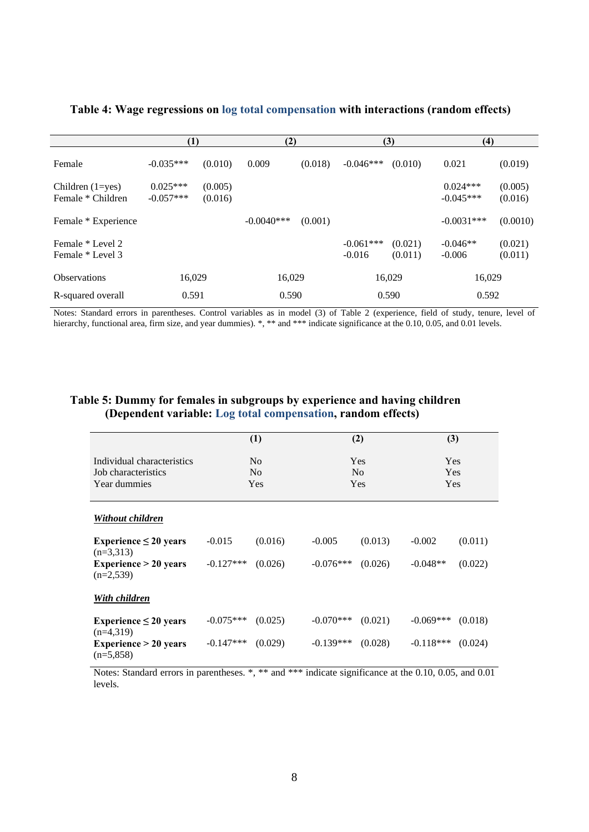|                                           |                           |                    | (2)          |         |                         | (3)                | (4)                       |                    |
|-------------------------------------------|---------------------------|--------------------|--------------|---------|-------------------------|--------------------|---------------------------|--------------------|
| Female                                    | $-0.035***$               | (0.010)            | 0.009        | (0.018) | $-0.046***$             | (0.010)            | 0.021                     | (0.019)            |
| Children $(1 = yes)$<br>Female * Children | $0.025***$<br>$-0.057***$ | (0.005)<br>(0.016) |              |         |                         |                    | $0.024***$<br>$-0.045***$ | (0.005)<br>(0.016) |
| Female * Experience                       |                           |                    | $-0.0040***$ | (0.001) |                         |                    | $-0.0031***$              | (0.0010)           |
| Female * Level 2<br>Female * Level 3      |                           |                    |              |         | $-0.061***$<br>$-0.016$ | (0.021)<br>(0.011) | $-0.046**$<br>$-0.006$    | (0.021)<br>(0.011) |
| <b>Observations</b>                       | 16,029                    |                    | 16,029       |         |                         | 16,029             | 16,029                    |                    |
| R-squared overall                         | 0.591                     |                    | 0.590        |         |                         | 0.590              | 0.592                     |                    |

**Table 4: Wage regressions on log total compensation with interactions (random effects)** 

Notes: Standard errors in parentheses. Control variables as in model (3) of Table 2 (experience, field of study, tenure, level of hierarchy, functional area, firm size, and year dummies). \*, \*\* and \*\*\* indicate significance at the 0.10, 0.05, and 0.01 levels.

### **Table 5: Dummy for females in subgroups by experience and having children (Dependent variable: Log total compensation, random effects)**

|                                                                   | (1)                                     |         | (2)                                 |         | (3)                      |         |
|-------------------------------------------------------------------|-----------------------------------------|---------|-------------------------------------|---------|--------------------------|---------|
| Individual characteristics<br>Job characteristics<br>Year dummies | N <sub>0</sub><br>N <sub>0</sub><br>Yes |         | <b>Yes</b><br>N <sub>0</sub><br>Yes |         | <b>Yes</b><br>Yes<br>Yes |         |
| Without children                                                  |                                         |         |                                     |         |                          |         |
| Experience $\leq 20$ years<br>$(n=3,313)$                         | $-0.015$                                | (0.016) | $-0.005$                            | (0.013) | $-0.002$                 | (0.011) |
| Experience $> 20$ years<br>$(n=2,539)$                            | $-0.127***$                             | (0.026) | $-0.076***$                         | (0.026) | $-0.048**$               | (0.022) |
| With children                                                     |                                         |         |                                     |         |                          |         |
| Experience $\leq 20$ years<br>$(n=4,319)$                         | $-0.075***$                             | (0.025) | $-0.070***$                         | (0.021) | $-0.069***$              | (0.018) |
| Experience $> 20$ years<br>$(n=5,858)$                            | $-0.147***$                             | (0.029) | $-0.139***$                         | (0.028) | $-0.118***$              | (0.024) |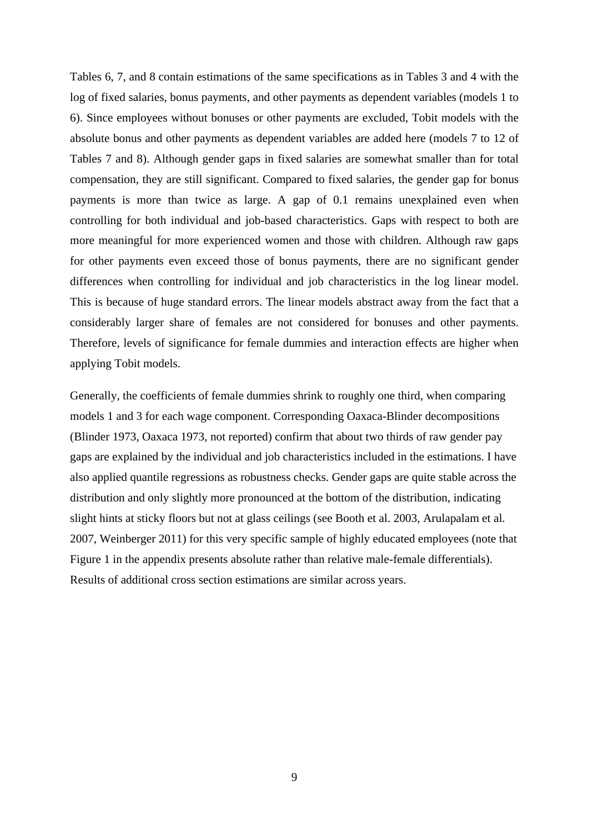Tables 6, 7, and 8 contain estimations of the same specifications as in Tables 3 and 4 with the log of fixed salaries, bonus payments, and other payments as dependent variables (models 1 to 6). Since employees without bonuses or other payments are excluded, Tobit models with the absolute bonus and other payments as dependent variables are added here (models 7 to 12 of Tables 7 and 8). Although gender gaps in fixed salaries are somewhat smaller than for total compensation, they are still significant. Compared to fixed salaries, the gender gap for bonus payments is more than twice as large. A gap of 0.1 remains unexplained even when controlling for both individual and job-based characteristics. Gaps with respect to both are more meaningful for more experienced women and those with children. Although raw gaps for other payments even exceed those of bonus payments, there are no significant gender differences when controlling for individual and job characteristics in the log linear model. This is because of huge standard errors. The linear models abstract away from the fact that a considerably larger share of females are not considered for bonuses and other payments. Therefore, levels of significance for female dummies and interaction effects are higher when applying Tobit models.

Generally, the coefficients of female dummies shrink to roughly one third, when comparing models 1 and 3 for each wage component. Corresponding Oaxaca-Blinder decompositions (Blinder 1973, Oaxaca 1973, not reported) confirm that about two thirds of raw gender pay gaps are explained by the individual and job characteristics included in the estimations. I have also applied quantile regressions as robustness checks. Gender gaps are quite stable across the distribution and only slightly more pronounced at the bottom of the distribution, indicating slight hints at sticky floors but not at glass ceilings (see Booth et al. 2003, Arulapalam et al. 2007, Weinberger 2011) for this very specific sample of highly educated employees (note that Figure 1 in the appendix presents absolute rather than relative male-female differentials). Results of additional cross section estimations are similar across years.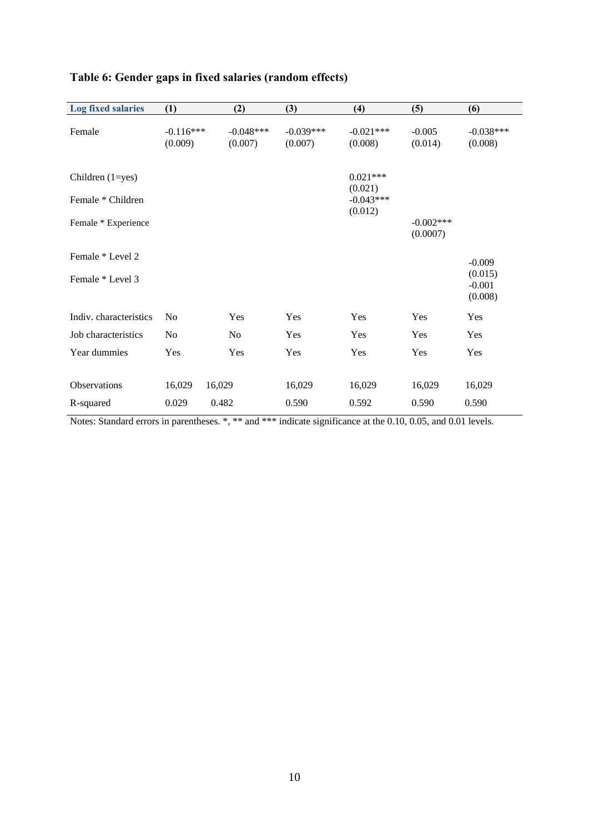| <b>Log fixed salaries</b> | (1)                    | (2)                    | (3)                    | (4)                    | (5)                     | (6)                            |
|---------------------------|------------------------|------------------------|------------------------|------------------------|-------------------------|--------------------------------|
| Female                    | $-0.116***$<br>(0.009) | $-0.048***$<br>(0.007) | $-0.039***$<br>(0.007) | $-0.021***$<br>(0.008) | $-0.005$<br>(0.014)     | $-0.038***$<br>(0.008)         |
| Children $(1 = yes)$      |                        |                        |                        | $0.021***$<br>(0.021)  |                         |                                |
| Female * Children         |                        |                        |                        | $-0.043***$<br>(0.012) |                         |                                |
| Female * Experience       |                        |                        |                        |                        | $-0.002***$<br>(0.0007) |                                |
| Female * Level 2          |                        |                        |                        |                        |                         | $-0.009$                       |
| Female * Level 3          |                        |                        |                        |                        |                         | (0.015)<br>$-0.001$<br>(0.008) |
| Indiv. characteristics    | N <sub>0</sub>         | Yes                    | Yes                    | Yes                    | Yes                     | Yes                            |
| Job characteristics       | N <sub>0</sub>         | N <sub>0</sub>         | Yes                    | Yes                    | Yes                     | Yes                            |
| Year dummies              | Yes                    | Yes                    | Yes                    | Yes                    | Yes                     | Yes                            |
| Observations              | 16,029                 | 16,029                 | 16,029                 | 16,029                 | 16,029                  | 16,029                         |
| R-squared                 | 0.029                  | 0.482                  | 0.590                  | 0.592                  | 0.590                   | 0.590                          |

### **Table 6: Gender gaps in fixed salaries (random effects)**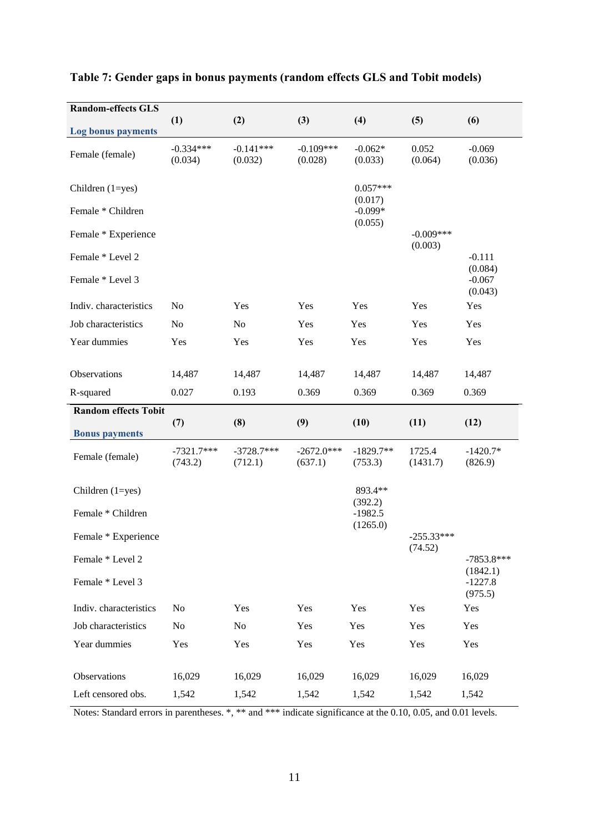| <b>Random-effects GLS</b>            |                         |                         |                         |                        |                        |                                            |
|--------------------------------------|-------------------------|-------------------------|-------------------------|------------------------|------------------------|--------------------------------------------|
| Log bonus payments                   | (1)                     | (2)                     | (3)                     | (4)                    | (5)                    | (6)                                        |
| Female (female)                      | $-0.334***$<br>(0.034)  | $-0.141***$<br>(0.032)  | $-0.109***$<br>(0.028)  | $-0.062*$<br>(0.033)   | 0.052<br>(0.064)       | $-0.069$<br>(0.036)                        |
| Children (1=yes)                     |                         |                         |                         | $0.057***$<br>(0.017)  |                        |                                            |
| Female * Children                    |                         |                         |                         | $-0.099*$<br>(0.055)   |                        |                                            |
| Female * Experience                  |                         |                         |                         |                        | $-0.009***$<br>(0.003) |                                            |
| Female * Level 2<br>Female * Level 3 |                         |                         |                         |                        |                        | $-0.111$<br>(0.084)<br>$-0.067$<br>(0.043) |
| Indiv. characteristics               | N <sub>0</sub>          | Yes                     | Yes                     | Yes                    | Yes                    | Yes                                        |
| Job characteristics                  | N <sub>o</sub>          | No                      | Yes                     | Yes                    | Yes                    | Yes                                        |
| Year dummies                         | Yes                     | Yes                     | Yes                     | Yes                    | Yes                    | Yes                                        |
|                                      |                         |                         |                         |                        |                        |                                            |
| Observations                         | 14,487                  | 14,487                  | 14,487                  | 14,487                 | 14,487                 | 14,487                                     |
| R-squared                            | 0.027                   | 0.193                   | 0.369                   | 0.369                  | 0.369                  | 0.369                                      |
|                                      |                         |                         |                         |                        |                        |                                            |
| <b>Random effects Tobit</b>          |                         |                         |                         |                        |                        |                                            |
| <b>Bonus</b> payments                | (7)                     | (8)                     | (9)                     | (10)                   | (11)                   | (12)                                       |
| Female (female)                      | $-7321.7***$<br>(743.2) | $-3728.7***$<br>(712.1) | $-2672.0***$<br>(637.1) | $-1829.7**$<br>(753.3) | 1725.4<br>(1431.7)     | $-1420.7*$<br>(826.9)                      |
| Children (1=yes)                     |                         |                         |                         | 893.4**                |                        |                                            |
| Female * Children                    |                         |                         |                         | (392.2)<br>$-1982.5$   |                        |                                            |
| Female * Experience                  |                         |                         |                         | (1265.0)               | $-255.33***$           |                                            |
| Female * Level 2<br>Female * Level 3 |                         |                         |                         |                        | (74.52)                | $-7853.8***$<br>(1842.1)<br>$-1227.8$      |
|                                      |                         |                         |                         |                        |                        | (975.5)                                    |
| Indiv. characteristics               | N <sub>o</sub>          | Yes                     | Yes                     | Yes                    | Yes                    | Yes                                        |
| Job characteristics                  | N <sub>o</sub>          | No                      | Yes                     | Yes                    | Yes                    | Yes                                        |
| Year dummies                         | Yes                     | Yes                     | Yes                     | Yes                    | Yes                    | Yes                                        |
| Observations                         | 16,029                  | 16,029                  | 16,029                  | 16,029                 | 16,029                 | 16,029                                     |

### **Table 7: Gender gaps in bonus payments (random effects GLS and Tobit models)**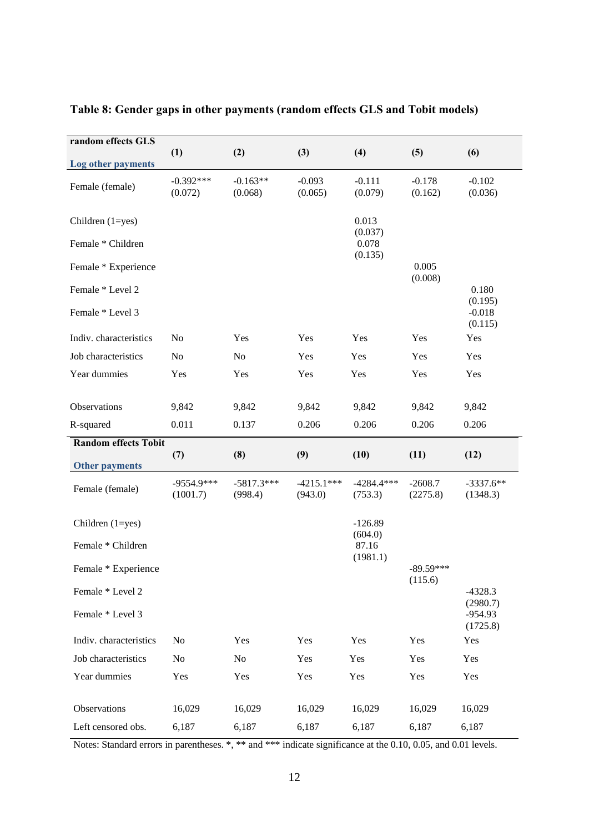| random effects GLS                   |                          |                         |                         |                         |                        |                              |
|--------------------------------------|--------------------------|-------------------------|-------------------------|-------------------------|------------------------|------------------------------|
| Log other payments                   | (1)                      | (2)                     | (3)                     | (4)                     | (5)                    | (6)                          |
| Female (female)                      | $-0.392***$<br>(0.072)   | $-0.163**$<br>(0.068)   | $-0.093$<br>(0.065)     | $-0.111$<br>(0.079)     | $-0.178$<br>(0.162)    | $-0.102$<br>(0.036)          |
| Children (1=yes)                     |                          |                         |                         | 0.013<br>(0.037)        |                        |                              |
| Female * Children                    |                          |                         |                         | 0.078<br>(0.135)        |                        |                              |
| Female * Experience                  |                          |                         |                         |                         | 0.005<br>(0.008)       |                              |
| Female * Level 2<br>Female * Level 3 |                          |                         |                         |                         |                        | 0.180<br>(0.195)<br>$-0.018$ |
|                                      |                          |                         |                         |                         |                        | (0.115)                      |
| Indiv. characteristics               | N <sub>o</sub>           | Yes                     | Yes                     | Yes                     | Yes                    | Yes                          |
| Job characteristics                  | No                       | No                      | Yes                     | Yes                     | Yes                    | Yes                          |
| Year dummies                         | Yes                      | Yes                     | Yes                     | Yes                     | Yes                    | Yes                          |
| Observations                         | 9,842                    | 9,842                   | 9,842                   | 9,842                   | 9,842                  | 9,842                        |
| R-squared                            | 0.011                    | 0.137                   | 0.206                   | 0.206                   | 0.206                  | 0.206                        |
| <b>Random effects Tobit</b>          |                          |                         |                         |                         |                        |                              |
|                                      | (7)                      | (8)                     | (9)                     | (10)                    | (11)                   | (12)                         |
| <b>Other payments</b>                |                          |                         |                         |                         |                        |                              |
| Female (female)                      | $-9554.9***$<br>(1001.7) | $-5817.3***$<br>(998.4) | $-4215.1***$<br>(943.0) | $-4284.4***$<br>(753.3) | $-2608.7$<br>(2275.8)  | $-3337.6**$<br>(1348.3)      |
| Children $(1 = yes)$                 |                          |                         |                         | $-126.89$               |                        |                              |
| Female * Children                    |                          |                         |                         | 87.16                   |                        |                              |
| Female * Experience                  |                          |                         |                         |                         | $-89.59***$<br>(115.6) |                              |
| Female * Level 2                     |                          |                         |                         |                         |                        | $-4328.3$<br>(2980.7)        |
|                                      |                          |                         |                         |                         |                        | $-954.93$<br>(1725.8)        |
| Indiv. characteristics               | N <sub>o</sub>           | Yes                     | Yes                     | Yes                     | Yes                    | Yes                          |
| Job characteristics                  | No                       | No                      | Yes                     | Yes                     | Yes                    | Yes                          |
| Year dummies                         | Yes                      | Yes                     | Yes                     | Yes                     | Yes                    | Yes                          |
| Observations                         | 16,029                   | 16,029                  | 16,029                  | 16,029                  | 16,029                 | 16,029                       |
| Left censored obs.                   | 6,187                    | 6,187                   | 6,187                   | 6,187                   | 6,187                  | 6,187                        |
| Female * Level 3                     |                          |                         |                         | (604.0)<br>(1981.1)     |                        |                              |

### **Table 8: Gender gaps in other payments (random effects GLS and Tobit models)**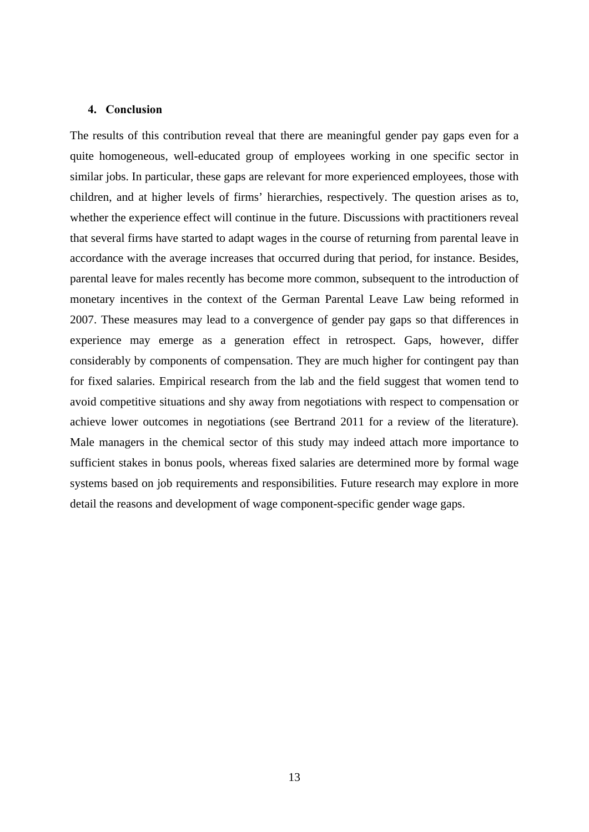#### **4. Conclusion**

The results of this contribution reveal that there are meaningful gender pay gaps even for a quite homogeneous, well-educated group of employees working in one specific sector in similar jobs. In particular, these gaps are relevant for more experienced employees, those with children, and at higher levels of firms' hierarchies, respectively. The question arises as to, whether the experience effect will continue in the future. Discussions with practitioners reveal that several firms have started to adapt wages in the course of returning from parental leave in accordance with the average increases that occurred during that period, for instance. Besides, parental leave for males recently has become more common, subsequent to the introduction of monetary incentives in the context of the German Parental Leave Law being reformed in 2007. These measures may lead to a convergence of gender pay gaps so that differences in experience may emerge as a generation effect in retrospect. Gaps, however, differ considerably by components of compensation. They are much higher for contingent pay than for fixed salaries. Empirical research from the lab and the field suggest that women tend to avoid competitive situations and shy away from negotiations with respect to compensation or achieve lower outcomes in negotiations (see Bertrand 2011 for a review of the literature). Male managers in the chemical sector of this study may indeed attach more importance to sufficient stakes in bonus pools, whereas fixed salaries are determined more by formal wage systems based on job requirements and responsibilities. Future research may explore in more detail the reasons and development of wage component-specific gender wage gaps.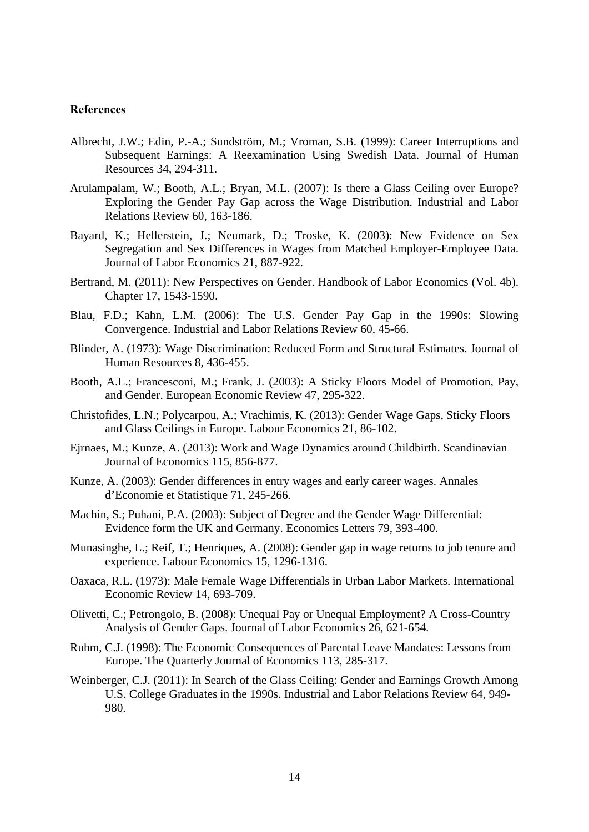### **References**

- Albrecht, J.W.; Edin, P.-A.; Sundström, M.; Vroman, S.B. (1999): Career Interruptions and Subsequent Earnings: A Reexamination Using Swedish Data. Journal of Human Resources 34, 294-311.
- Arulampalam, W.; Booth, A.L.; Bryan, M.L. (2007): Is there a Glass Ceiling over Europe? Exploring the Gender Pay Gap across the Wage Distribution. Industrial and Labor Relations Review 60, 163-186.
- Bayard, K.; Hellerstein, J.; Neumark, D.; Troske, K. (2003): New Evidence on Sex Segregation and Sex Differences in Wages from Matched Employer-Employee Data. Journal of Labor Economics 21, 887-922.
- Bertrand, M. (2011): New Perspectives on Gender. Handbook of Labor Economics (Vol. 4b). Chapter 17, 1543-1590.
- Blau, F.D.; Kahn, L.M. (2006): The U.S. Gender Pay Gap in the 1990s: Slowing Convergence. Industrial and Labor Relations Review 60, 45-66.
- Blinder, A. (1973): Wage Discrimination: Reduced Form and Structural Estimates. Journal of Human Resources 8, 436-455.
- Booth, A.L.; Francesconi, M.; Frank, J. (2003): A Sticky Floors Model of Promotion, Pay, and Gender. European Economic Review 47, 295-322.
- Christofides, L.N.; Polycarpou, A.; Vrachimis, K. (2013): Gender Wage Gaps, Sticky Floors and Glass Ceilings in Europe. Labour Economics 21, 86-102.
- Ejrnaes, M.; Kunze, A. (2013): Work and Wage Dynamics around Childbirth. Scandinavian Journal of Economics 115, 856-877.
- Kunze, A. (2003): Gender differences in entry wages and early career wages. Annales d'Economie et Statistique 71, 245-266*.*
- Machin, S.; Puhani, P.A. (2003): Subject of Degree and the Gender Wage Differential: Evidence form the UK and Germany. Economics Letters 79, 393-400.
- Munasinghe, L.; Reif, T.; Henriques, A. (2008): Gender gap in wage returns to job tenure and experience. Labour Economics 15, 1296-1316.
- Oaxaca, R.L. (1973): Male Female Wage Differentials in Urban Labor Markets. International Economic Review 14, 693-709.
- Olivetti, C.; Petrongolo, B. (2008): Unequal Pay or Unequal Employment? A Cross-Country Analysis of Gender Gaps. Journal of Labor Economics 26, 621-654.
- Ruhm, C.J. (1998): The Economic Consequences of Parental Leave Mandates: Lessons from Europe. The Quarterly Journal of Economics 113, 285-317.
- Weinberger, C.J. (2011): In Search of the Glass Ceiling: Gender and Earnings Growth Among U.S. College Graduates in the 1990s. Industrial and Labor Relations Review 64, 949- 980.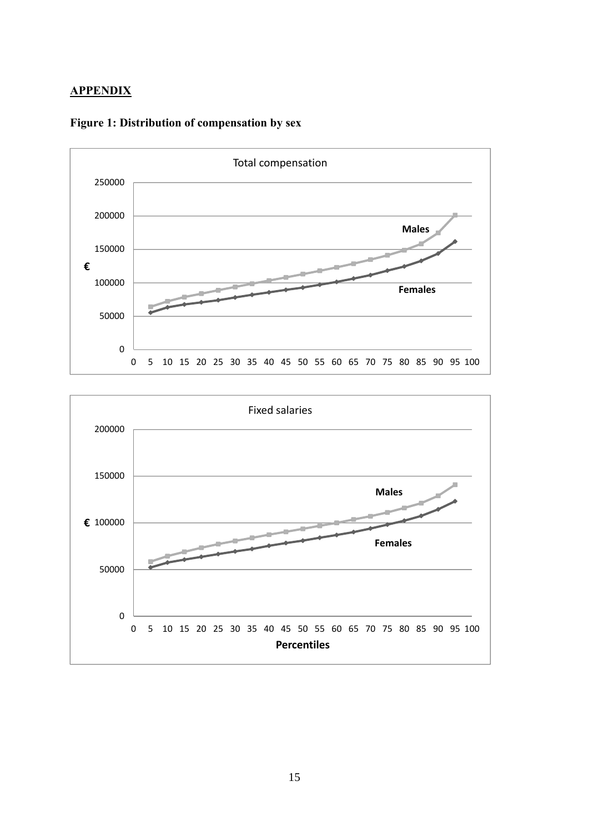### **APPENDIX**



### **Figure 1: Distribution of compensation by sex**